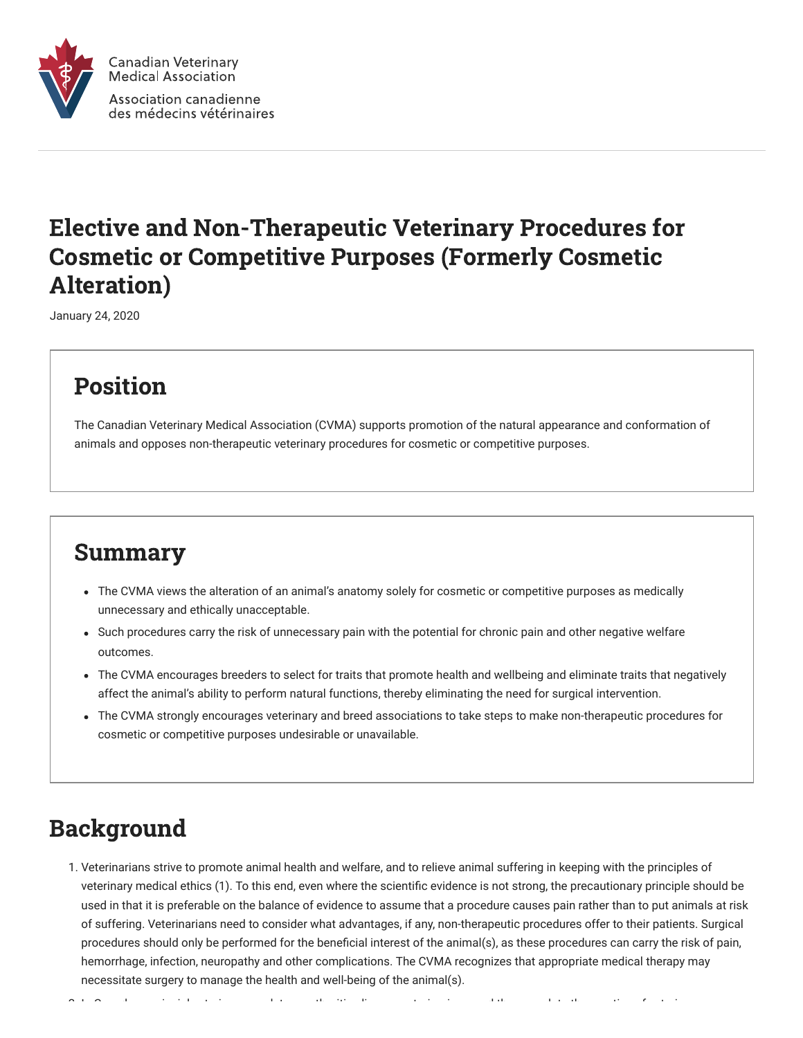

## Elective and Non-Therapeutic Veterinary Procedures for Cosmetic or Competitive Purposes (Formerly Cosmetic Alteration)

January 24, 2020

# Position

The Canadian Veterinary Medical Association (CVMA) supports promotion of the natural appearance and conformation of animals and opposes non-therapeutic veterinary procedures for cosmetic or competitive purposes.

#### Summary

- The CVMA views the alteration of an animal's anatomy solely for cosmetic or competitive purposes as medically unnecessary and ethically unacceptable.
- Such procedures carry the risk of unnecessary pain with the potential for chronic pain and other negative welfare outcomes.
- The CVMA encourages breeders to select for traits that promote health and wellbeing and eliminate traits that negatively affect the animal's ability to perform natural functions, thereby eliminating the need for surgical intervention.
- The CVMA strongly encourages veterinary and breed associations to take steps to make non-therapeutic procedures for cosmetic or competitive purposes undesirable or unavailable.

### Background

1. Veterinarians strive to promote animal health and welfare, and to relieve animal suffering in keeping with the principles of veterinary medical ethics (1). To this end, even where the scientific evidence is not strong, the precautionary principle should be used in that it is preferable on the balance of evidence to assume that a procedure causes pain rather than to put animals at risk of suffering. Veterinarians need to consider what advantages, if any, non-therapeutic procedures offer to their patients. Surgical procedures should only be performed for the beneficial interest of the animal(s), as these procedures can carry the risk of pain, hemorrhage, infection, neuropathy and other complications. The CVMA recognizes that appropriate medical therapy may necessitate surgery to manage the health and well-being of the animal(s).

2 I C d i i l t i l t th iti li t i i d th l t th ti f t i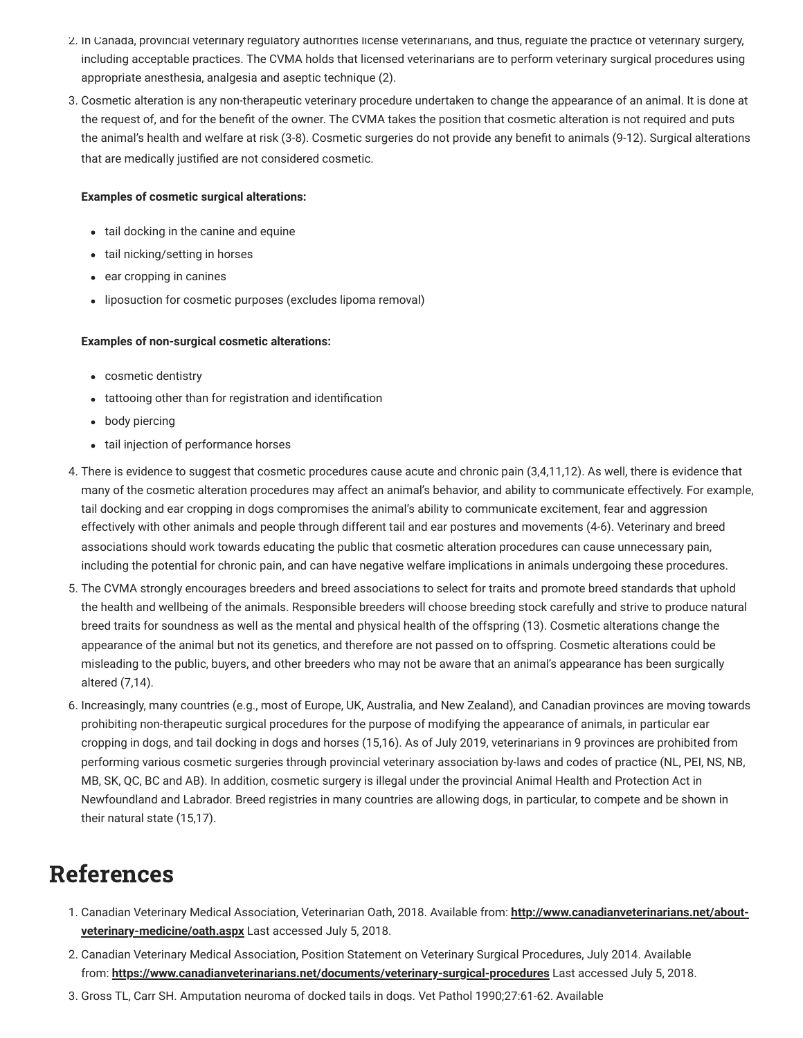- 2. In Canada, provincial veterinary regulatory authorities license veterinarians, and thus, regulate the practice of veterinary surgery, including acceptable practices. The CVMA holds that licensed veterinarians are to perform veterinary surgical procedures using appropriate anesthesia, analgesia and aseptic technique (2).
- 3. Cosmetic alteration is any non-therapeutic veterinary procedure undertaken to change the appearance of an animal. It is done at the request of, and for the benefit of the owner. The CVMA takes the position that cosmetic alteration is not required and puts the animal's health and welfare at risk (3-8). Cosmetic surgeries do not provide any benefit to animals (9-12). Surgical alterations that are medically justified are not considered cosmetic.

#### **Examples of cosmetic surgical alterations:**

- tail docking in the canine and equine
- tail nicking/setting in horses
- ear cropping in canines
- liposuction for cosmetic purposes (excludes lipoma removal)

#### **Examples of non-surgical cosmetic alterations:**

- cosmetic dentistry
- tattooing other than for registration and identification
- body piercing
- tail injection of performance horses
- 4. There is evidence to suggest that cosmetic procedures cause acute and chronic pain (3,4,11,12). As well, there is evidence that many of the cosmetic alteration procedures may affect an animal's behavior, and ability to communicate effectively. For example, tail docking and ear cropping in dogs compromises the animal's ability to communicate excitement, fear and aggression effectively with other animals and people through different tail and ear postures and movements (4-6). Veterinary and breed associations should work towards educating the public that cosmetic alteration procedures can cause unnecessary pain, including the potential for chronic pain, and can have negative welfare implications in animals undergoing these procedures.
- 5. The CVMA strongly encourages breeders and breed associations to select for traits and promote breed standards that uphold the health and wellbeing of the animals. Responsible breeders will choose breeding stock carefully and strive to produce natural breed traits for soundness as well as the mental and physical health of the offspring (13). Cosmetic alterations change the appearance of the animal but not its genetics, and therefore are not passed on to offspring. Cosmetic alterations could be misleading to the public, buyers, and other breeders who may not be aware that an animal's appearance has been surgically altered (7,14).
- 6. Increasingly, many countries (e.g., most of Europe, UK, Australia, and New Zealand), and Canadian provinces are moving towards prohibiting non-therapeutic surgical procedures for the purpose of modifying the appearance of animals, in particular ear cropping in dogs, and tail docking in dogs and horses (15,16). As of July 2019, veterinarians in 9 provinces are prohibited from performing various cosmetic surgeries through provincial veterinary association by-laws and codes of practice (NL, PEI, NS, NB, MB, SK, QC, BC and AB). In addition, cosmetic surgery is illegal under the provincial Animal Health and Protection Act in Newfoundland and Labrador. Breed registries in many countries are allowing dogs, in particular, to compete and be shown in their natural state (15,17).

### References

- 1. [Canadian Veterinary Medical Association, Veterinarian Oath, 2018. Available from:](http://www.canadianveterinarians.net/about-veterinary-medicine/oath.aspx) **http://www.canadianveterinarians.net/aboutveterinary-medicine/oath.aspx** Last accessed July 5, 2018.
- 2. Canadian Veterinary Medical Association, Position Statement on Veterinary Surgical Procedures, July 2014. Available from: **<https://www.canadianveterinarians.net/documents/veterinary-surgical-procedures>** Last accessed July 5, 2018.
- 3. Gross TL, Carr SH. Amputation neuroma of docked tails in dogs. Vet Pathol 1990;27:61-62. Available